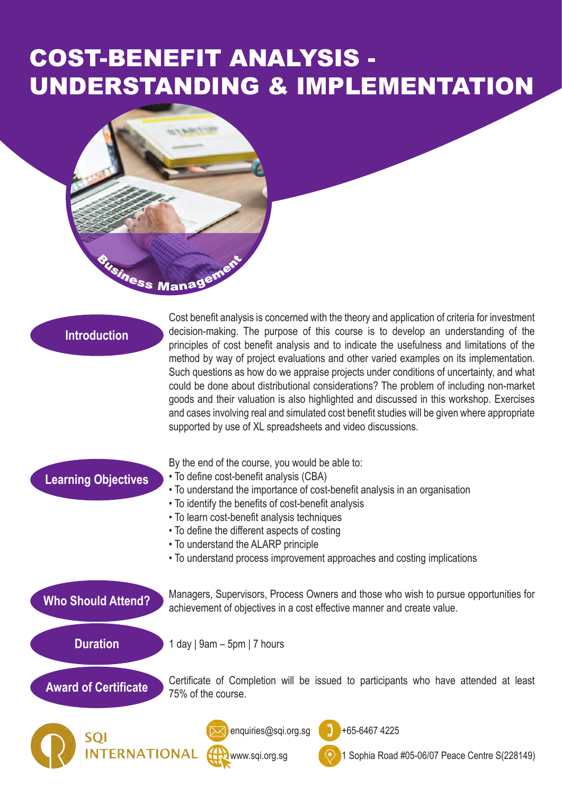## COST-BENEFIT ANALYSIS - UNDERSTANDING & IMPLEMENTATION



| <b>Introduction</b> |
|---------------------|
|                     |

Cost benefit analysis is concerned with the theory and application of criteria for investment decision-making. The purpose of this course is to develop an understanding of the principles of cost benefit analysis and to indicate the usefulness and limitations of the method by way of project evaluations and other varied examples on its implementation. Such questions as how do we appraise projects under conditions of uncertainty, and what could be done about distributional considerations? The problem of including non-market goods and their valuation is also highlighted and discussed in this workshop. Exercises and cases involving real and simulated cost benefit studies will be given where appropriate supported by use of XL spreadsheets and video discussions.

| <b>Learning Objectives</b>                                                                                                               | By the end of the course, you would be able to:<br>• To define cost-benefit analysis (CBA)<br>• To understand the importance of cost-benefit analysis in an organisation<br>• To identify the benefits of cost-benefit analysis<br>• To learn cost-benefit analysis techniques<br>• To define the different aspects of costing<br>• To understand the ALARP principle<br>• To understand process improvement approaches and costing implications |
|------------------------------------------------------------------------------------------------------------------------------------------|--------------------------------------------------------------------------------------------------------------------------------------------------------------------------------------------------------------------------------------------------------------------------------------------------------------------------------------------------------------------------------------------------------------------------------------------------|
| <b>Who Should Attend?</b>                                                                                                                | Managers, Supervisors, Process Owners and those who wish to pursue opportunities for<br>achievement of objectives in a cost effective manner and create value.                                                                                                                                                                                                                                                                                   |
| <b>Duration</b>                                                                                                                          | 1 day   $9am - 5pm$   7 hours                                                                                                                                                                                                                                                                                                                                                                                                                    |
| Certificate of Completion will be issued to participants who have attended at least<br><b>Award of Certificate</b><br>75% of the course. |                                                                                                                                                                                                                                                                                                                                                                                                                                                  |
| <b>SQI</b>                                                                                                                               | +65-6467 4225<br>enquiries@sqi.org.sg<br>www.sqi.org.sg<br>Sophia Road #05-06/07 Peace Centre S(228149)                                                                                                                                                                                                                                                                                                                                          |